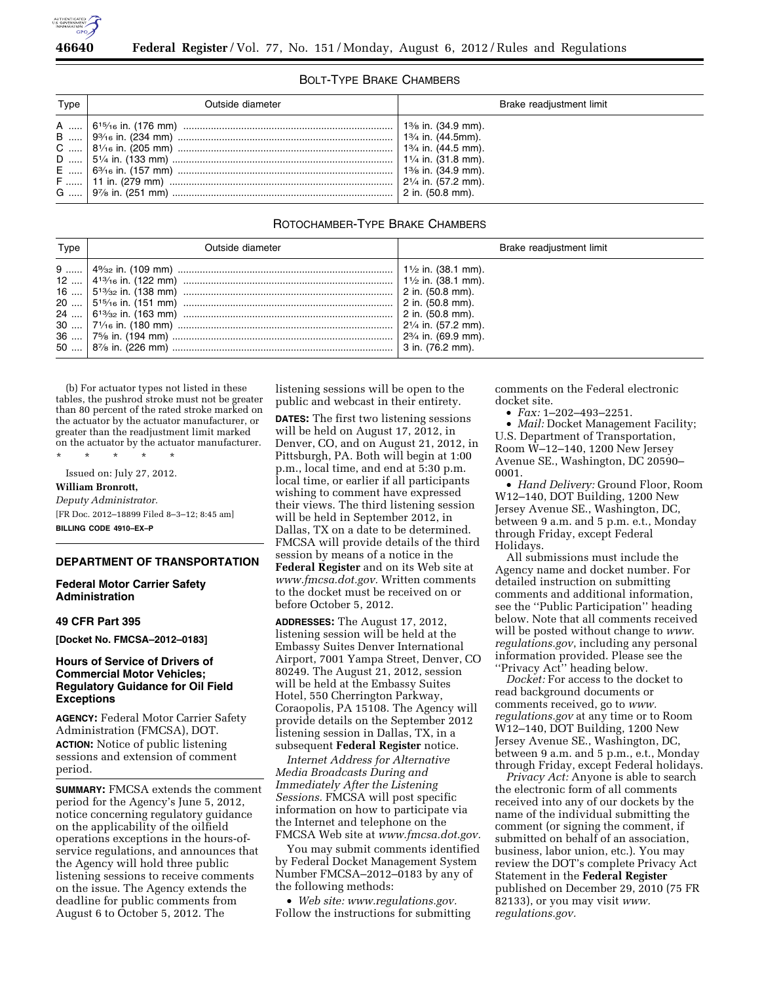

#### BOLT-TYPE BRAKE CHAMBERS

| Type | Outside diameter                                                                     | Brake readjustment limit |
|------|--------------------------------------------------------------------------------------|--------------------------|
|      | А …   6 <sup>15</sup> ⁄16 in. (176 mm) …………………………………………………………………   1¾ in. (34.9 mm). |                          |

# ROTOCHAMBER-TYPE BRAKE CHAMBERS

| Type | Outside diameter | Brake readjustment limit      |
|------|------------------|-------------------------------|
|      |                  | $2\frac{3}{4}$ in. (69.9 mm). |

(b) For actuator types not listed in these tables, the pushrod stroke must not be greater than 80 percent of the rated stroke marked on the actuator by the actuator manufacturer, or greater than the readjustment limit marked on the actuator by the actuator manufacturer.

\* \* \* \* \* Issued on: July 27, 2012.

**William Bronrott,** 

*Deputy Administrator.* 

[FR Doc. 2012–18899 Filed 8–3–12; 8:45 am] **BILLING CODE 4910–EX–P** 

# **DEPARTMENT OF TRANSPORTATION**

**Federal Motor Carrier Safety Administration** 

#### **49 CFR Part 395**

**[Docket No. FMCSA–2012–0183]** 

# **Hours of Service of Drivers of Commercial Motor Vehicles; Regulatory Guidance for Oil Field Exceptions**

**AGENCY:** Federal Motor Carrier Safety Administration (FMCSA), DOT. **ACTION:** Notice of public listening sessions and extension of comment period.

**SUMMARY:** FMCSA extends the comment period for the Agency's June 5, 2012, notice concerning regulatory guidance on the applicability of the oilfield operations exceptions in the hours-ofservice regulations, and announces that the Agency will hold three public listening sessions to receive comments on the issue. The Agency extends the deadline for public comments from August 6 to October 5, 2012. The

listening sessions will be open to the public and webcast in their entirety.

**DATES:** The first two listening sessions will be held on August 17, 2012, in Denver, CO, and on August 21, 2012, in Pittsburgh, PA. Both will begin at 1:00 p.m., local time, and end at 5:30 p.m. local time, or earlier if all participants wishing to comment have expressed their views. The third listening session will be held in September 2012, in Dallas, TX on a date to be determined. FMCSA will provide details of the third session by means of a notice in the

**Federal Register** and on its Web site at *[www.fmcsa.dot.gov.](http://www.fmcsa.dot.gov)* Written comments to the docket must be received on or before October 5, 2012.

**ADDRESSES:** The August 17, 2012, listening session will be held at the Embassy Suites Denver International Airport, 7001 Yampa Street, Denver, CO 80249. The August 21, 2012, session will be held at the Embassy Suites Hotel, 550 Cherrington Parkway, Coraopolis, PA 15108. The Agency will provide details on the September 2012 listening session in Dallas, TX, in a subsequent **Federal Register** notice.

*Internet Address for Alternative Media Broadcasts During and Immediately After the Listening Sessions.* FMCSA will post specific information on how to participate via the Internet and telephone on the FMCSA Web site at *[www.fmcsa.dot.gov.](http://www.fmcsa.dot.gov)* 

You may submit comments identified by Federal Docket Management System Number FMCSA–2012–0183 by any of the following methods:

• *Web site: [www.regulations.gov.](http://www.regulations.gov)*  Follow the instructions for submitting comments on the Federal electronic docket site.

• *Fax:* 1–202–493–2251.

• *Mail:* Docket Management Facility; U.S. Department of Transportation, Room W–12–140, 1200 New Jersey Avenue SE., Washington, DC 20590– 0001.

• *Hand Delivery:* Ground Floor, Room W12–140, DOT Building, 1200 New Jersey Avenue SE., Washington, DC, between 9 a.m. and 5 p.m. e.t., Monday through Friday, except Federal Holidays.

All submissions must include the Agency name and docket number. For detailed instruction on submitting comments and additional information, see the ''Public Participation'' heading below. Note that all comments received will be posted without change to *[www.](http://www.regulations.gov) [regulations.gov](http://www.regulations.gov)*, including any personal information provided. Please see the ''Privacy Act'' heading below.

*Docket:* For access to the docket to read background documents or comments received, go to *[www.](http://www.regulations.gov) [regulations.gov](http://www.regulations.gov)* at any time or to Room W12–140, DOT Building, 1200 New Jersey Avenue SE., Washington, DC, between 9 a.m. and 5 p.m., e.t., Monday through Friday, except Federal holidays.

*Privacy Act:* Anyone is able to search the electronic form of all comments received into any of our dockets by the name of the individual submitting the comment (or signing the comment, if submitted on behalf of an association, business, labor union, etc.). You may review the DOT's complete Privacy Act Statement in the **Federal Register**  published on December 29, 2010 (75 FR 82133), or you may visit *[www.](http://www.regulations.gov) [regulations.gov.](http://www.regulations.gov)*